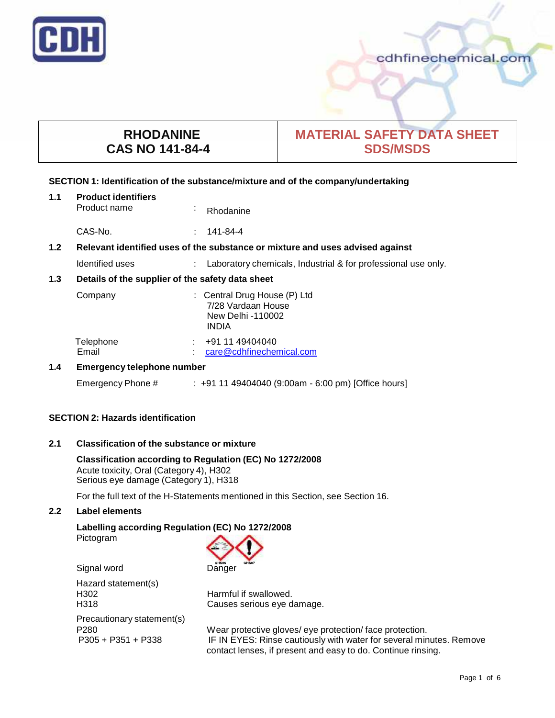

# **RHODANINE CAS NO 141-84-4**

# **MATERIAL SAFETY DATA SHEET SDS/MSDS**

### **SECTION 1: Identification of the substance/mixture and of the company/undertaking**

| 1.1              | <b>Product identifiers</b><br>Product name                                    | ×, | Rhodanine                                                                               |
|------------------|-------------------------------------------------------------------------------|----|-----------------------------------------------------------------------------------------|
|                  | CAS-No.                                                                       |    | 141-84-4                                                                                |
| 1.2 <sub>2</sub> | Relevant identified uses of the substance or mixture and uses advised against |    |                                                                                         |
|                  | Identified uses                                                               |    | Laboratory chemicals, Industrial & for professional use only.                           |
| 1.3              | Details of the supplier of the safety data sheet                              |    |                                                                                         |
|                  | Company                                                                       |    | : Central Drug House (P) Ltd<br>7/28 Vardaan House<br>New Delhi -110002<br><b>INDIA</b> |
|                  | Telephone<br>Email                                                            |    | +91 11 49404040<br>care@cdhfinechemical.com                                             |
| 1.4              | <b>Emergency telephone number</b>                                             |    |                                                                                         |
|                  | Emergency Phone #                                                             |    | : +91 11 49404040 (9:00am - 6:00 pm) [Office hours]                                     |

# **SECTION 2: Hazards identification**

# **2.1 Classification of the substance ormixture**

**Classification according to Regulation (EC) No 1272/2008** Acute toxicity, Oral (Category 4), H302 Serious eye damage (Category 1), H318

For the full text of the H-Statements mentioned in this Section, see Section 16.

# **2.2 Label elements**

### **Labelling according Regulation (EC) No 1272/2008** Pictogram



Signal word Danger

Hazard statement(s)<br>H302 H<sub>302</sub> Harmful if swallowed.<br>H<sub>318</sub> H<sub>318</sub> H<sub>318</sub> H<sub>318</sub> H<sub>318</sub> H<sub>318</sub> H<sub>318</sub> H<sub>318</sub> H<sub>318</sub> H<sub>318</sub> H<sub>318</sub> H<sub>318</sub> H<sub>318</sub> H<sub>318</sub> H<sub>318</sub> H<sub>318</sub> H<sub>318</sub> H<sub>318</sub> H<sub>318</sub> H<sub>318</sub> H<sub>318</sub> H<sub>318</sub> H<sub>318</sub> H<sub>318</sub> H<sub>318</sub> H<sub>318</sub> H<sub>318</sub> H<sub>31</sub> Precautionary statement(s)

Causes serious eye damage.

P280 Wear protective gloves/ eye protection/ face protection.<br>P305 + P351 + P338 IF IN EYES: Rinse cautiously with water for several min IF IN EYES: Rinse cautiously with water for several minutes. Remove contact lenses, if present and easy to do. Continue rinsing.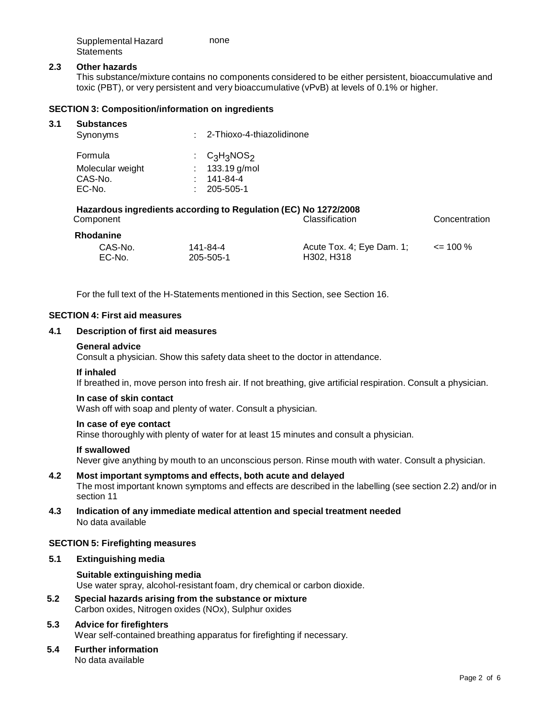| Supplemental Hazard | none |
|---------------------|------|
| Statements          |      |

## **2.3 Other hazards**

This substance/mixture contains no components considered to be either persistent, bioaccumulative and toxic (PBT), or very persistent and very bioaccumulative (vPvB) at levels of 0.1% or higher.

### **SECTION 3: Composition/information on ingredients**

#### **3.1 Substances**

| ------------<br>Synonyms                                        |  | : 2-Thioxo-4-thiazolidinone                                 |  |
|-----------------------------------------------------------------|--|-------------------------------------------------------------|--|
| Formula                                                         |  | $\therefore$ C <sub>3</sub> H <sub>3</sub> NOS <sub>2</sub> |  |
| Molecular weight                                                |  | 133.19 g/mol                                                |  |
| CAS-No.                                                         |  | 141-84-4                                                    |  |
| EC-No.                                                          |  | 205-505-1                                                   |  |
| Hazardous ingredients according to Regulation (EC) No 1272/2008 |  |                                                             |  |

| Component        |           | <b>Classification</b>     | Concentration |  |
|------------------|-----------|---------------------------|---------------|--|
| <b>Rhodanine</b> |           |                           |               |  |
| CAS-No.          | 141-84-4  | Acute Tox. 4; Eye Dam. 1; | $\leq$ 100 %  |  |
| EC-No.           | 205-505-1 | H302. H318                |               |  |

For the full text of the H-Statements mentioned in this Section, see Section 16.

# **SECTION 4: First aid measures**

# **4.1 Description of first aid measures**

#### **General advice**

Consult a physician. Show this safety data sheet to the doctor in attendance.

#### **If inhaled**

If breathed in, move person into fresh air. If not breathing, give artificial respiration. Consult a physician.

### **In case of skin contact**

Wash off with soap and plenty of water. Consult a physician.

## **In case of eye contact**

Rinse thoroughly with plenty of water for at least 15 minutes and consult a physician.

#### **If swallowed**

Never give anything by mouth to an unconscious person. Rinse mouth with water. Consult a physician.

# **4.2 Most important symptoms and effects, both acute and delayed**

The most important known symptoms and effects are described in the labelling (see section 2.2) and/or in section 11

# **4.3 Indication of any immediate medical attention and special treatment needed** No data available

#### **SECTION 5: Firefighting measures**

# **5.1 Extinguishing media**

#### **Suitable extinguishing media**

Use water spray, alcohol-resistant foam, dry chemical or carbon dioxide.

**5.2 Special hazards arising from the substance ormixture** Carbon oxides, Nitrogen oxides (NOx), Sulphur oxides

#### **5.3 Advice for firefighters** Wear self-contained breathing apparatus for firefighting if necessary.

# **5.4 Further information**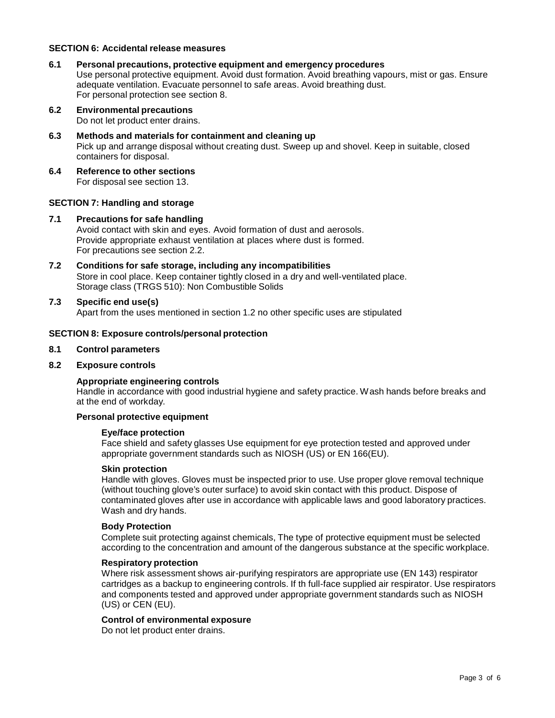## **SECTION 6: Accidental release measures**

- **6.1 Personal precautions, protective equipment and emergency procedures** Use personal protective equipment. Avoid dust formation. Avoid breathing vapours, mist or gas. Ensure adequate ventilation. Evacuate personnel to safe areas. Avoid breathing dust. For personal protection see section 8.
- **6.2 Environmental precautions** Do not let product enter drains.
- **6.3 Methods and materials for containment and cleaning up** Pick up and arrange disposal without creating dust. Sweep up and shovel. Keep in suitable, closed containers for disposal.
- **6.4 Reference to other sections** For disposal see section 13.

# **SECTION 7: Handling and storage**

- **7.1 Precautions for safe handling** Avoid contact with skin and eyes. Avoid formation of dust and aerosols. Provide appropriate exhaust ventilation at places where dust is formed. For precautions see section 2.2.
- **7.2 Conditions for safe storage, including any incompatibilities** Store in cool place. Keep container tightly closed in a dry and well-ventilated place. Storage class (TRGS 510): Non Combustible Solids
- **7.3 Specific end use(s)** Apart from the uses mentioned in section 1.2 no other specific uses are stipulated

# **SECTION 8: Exposure controls/personal protection**

# **8.1 Control parameters**

#### **8.2 Exposure controls**

# **Appropriate engineering controls**

Handle in accordance with good industrial hygiene and safety practice. Wash hands before breaks and at the end of workday.

# **Personal protective equipment**

### **Eye/face protection**

Face shield and safety glasses Use equipment for eye protection tested and approved under appropriate government standards such as NIOSH (US) or EN 166(EU).

#### **Skin protection**

Handle with gloves. Gloves must be inspected prior to use. Use proper glove removal technique (without touching glove's outer surface) to avoid skin contact with this product. Dispose of contaminated gloves after use in accordance with applicable laws and good laboratory practices. Wash and dry hands.

#### **Body Protection**

Complete suit protecting against chemicals, The type of protective equipment must be selected according to the concentration and amount of the dangerous substance at the specific workplace.

#### **Respiratory protection**

Where risk assessment shows air-purifying respirators are appropriate use (EN 143) respirator cartridges as a backup to engineering controls. If th full-face supplied air respirator. Use respirators and components tested and approved under appropriate government standards such as NIOSH (US) or CEN (EU).

#### **Control of environmental exposure**

Do not let product enter drains.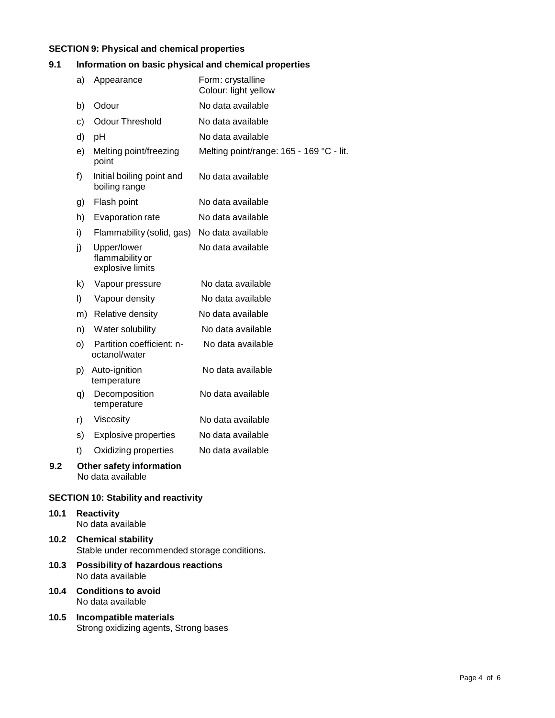# **SECTION 9: Physical and chemical properties**

# **9.1 Information on basic physical and chemical properties**

|     | a)      | Appearance                                         | Form: crystalline<br>Colour: light yellow |
|-----|---------|----------------------------------------------------|-------------------------------------------|
|     | b)      | Odour                                              | No data available                         |
|     | c)      | <b>Odour Threshold</b>                             | No data available                         |
|     | d)      | pH                                                 | No data available                         |
|     | e)      | Melting point/freezing<br>point                    | Melting point/range: 165 - 169 °C - lit.  |
|     | f)      | Initial boiling point and<br>boiling range         | No data available                         |
|     | g)      | Flash point                                        | No data available                         |
|     | h)      | Evaporation rate                                   | No data available                         |
|     | i)      | Flammability (solid, gas)                          | No data available                         |
|     | j)      | Upper/lower<br>flammability or<br>explosive limits | No data available                         |
|     | k)      | Vapour pressure                                    | No data available                         |
|     | $\vert$ | Vapour density                                     | No data available                         |
|     | m)      | Relative density                                   | No data available                         |
|     | n)      | Water solubility                                   | No data available                         |
|     | O)      | Partition coefficient: n-<br>octanol/water         | No data available                         |
|     |         | p) Auto-ignition<br>temperature                    | No data available                         |
|     | q)      | Decomposition<br>temperature                       | No data available                         |
|     | r)      | Viscosity                                          | No data available                         |
|     | s)      | <b>Explosive properties</b>                        | No data available                         |
|     | t)      | Oxidizing properties                               | No data available                         |
| 9.2 |         | Other safety information<br>No data available      |                                           |
|     |         |                                                    |                                           |

# **SECTION 10: Stability and reactivity**

### **10.1 Reactivity** No data available

- **10.2 Chemical stability** Stable under recommended storage conditions.
- **10.3 Possibility of hazardous reactions** No data available
- **10.4 Conditions to avoid** No data available
- **10.5 Incompatible materials** Strong oxidizing agents, Strong bases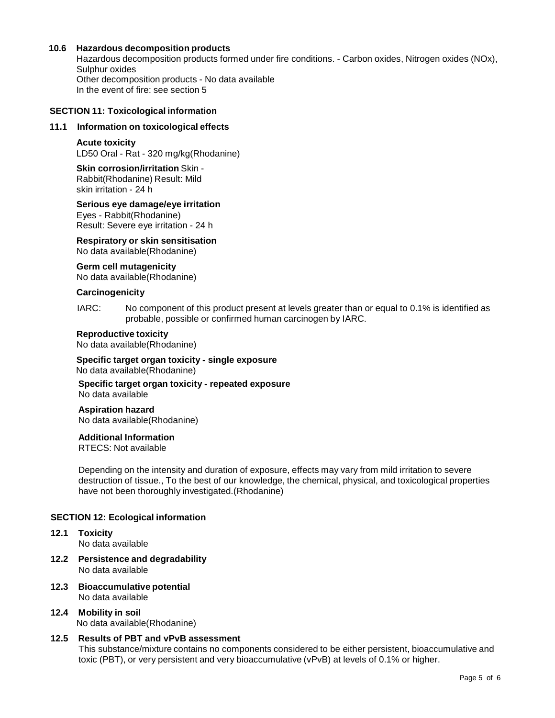# **10.6 Hazardous decomposition products**

Hazardous decomposition products formed under fire conditions. - Carbon oxides, Nitrogen oxides (NOx), Sulphur oxides Other decomposition products - No data available In the event of fire: see section 5

### **SECTION 11: Toxicological information**

### **11.1 Information on toxicological effects**

#### **Acute toxicity**

LD50 Oral - Rat - 320 mg/kg(Rhodanine)

**Skin corrosion/irritation** Skin - Rabbit(Rhodanine) Result: Mild skin irritation - 24 h

# **Serious eye damage/eye irritation**

Eyes - Rabbit(Rhodanine) Result: Severe eye irritation - 24 h

# **Respiratory orskin sensitisation**

No data available(Rhodanine)

**Germ cell mutagenicity** No data available(Rhodanine)

# **Carcinogenicity**

IARC: No component of this product present at levels greater than or equal to 0.1% is identified as probable, possible or confirmed human carcinogen by IARC.

## **Reproductive toxicity**

No data available(Rhodanine)

# **Specific target organ toxicity - single exposure** No data available(Rhodanine)

**Specific target organ toxicity - repeated exposure** No data available

**Aspiration hazard** No data available(Rhodanine)

# **Additional Information**

RTECS: Not available

Depending on the intensity and duration of exposure, effects may vary from mild irritation to severe destruction of tissue., To the best of our knowledge, the chemical, physical, and toxicological properties have not been thoroughly investigated.(Rhodanine)

# **SECTION 12: Ecological information**

- **12.1 Toxicity** No data available
- **12.2 Persistence and degradability** No data available
- **12.3 Bioaccumulative potential** No data available
- **12.4 Mobility in soil** No data available(Rhodanine)

# **12.5 Results of PBT and vPvB assessment**

This substance/mixture contains no components considered to be either persistent, bioaccumulative and toxic (PBT), or very persistent and very bioaccumulative (vPvB) at levels of 0.1% or higher.